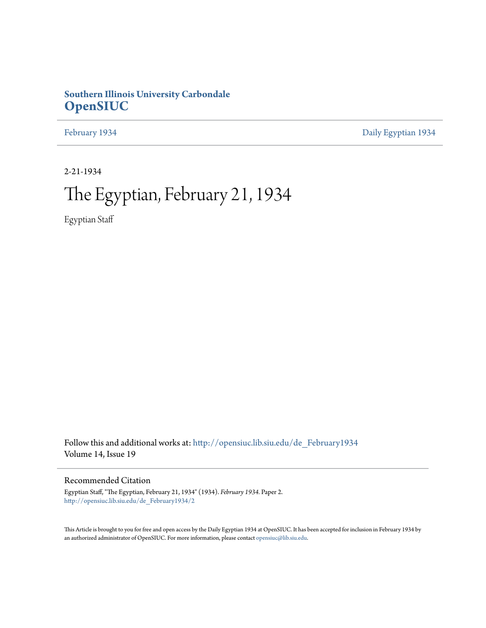# **Southern Illinois University Carbondale [OpenSIUC](http://opensiuc.lib.siu.edu?utm_source=opensiuc.lib.siu.edu%2Fde_February1934%2F2&utm_medium=PDF&utm_campaign=PDFCoverPages)**

[February 1934](http://opensiuc.lib.siu.edu/de_February1934?utm_source=opensiuc.lib.siu.edu%2Fde_February1934%2F2&utm_medium=PDF&utm_campaign=PDFCoverPages) [Daily Egyptian 1934](http://opensiuc.lib.siu.edu/de_1934?utm_source=opensiuc.lib.siu.edu%2Fde_February1934%2F2&utm_medium=PDF&utm_campaign=PDFCoverPages)

2-21-1934

# The Egyptian, February 21, 1934

Egyptian Staff

Follow this and additional works at: [http://opensiuc.lib.siu.edu/de\\_February1934](http://opensiuc.lib.siu.edu/de_February1934?utm_source=opensiuc.lib.siu.edu%2Fde_February1934%2F2&utm_medium=PDF&utm_campaign=PDFCoverPages) Volume 14, Issue 19

# Recommended Citation

Egyptian Staff, "The Egyptian, February 21, 1934" (1934). *February 1934.* Paper 2. [http://opensiuc.lib.siu.edu/de\\_February1934/2](http://opensiuc.lib.siu.edu/de_February1934/2?utm_source=opensiuc.lib.siu.edu%2Fde_February1934%2F2&utm_medium=PDF&utm_campaign=PDFCoverPages)

This Article is brought to you for free and open access by the Daily Egyptian 1934 at OpenSIUC. It has been accepted for inclusion in February 1934 by an authorized administrator of OpenSIUC. For more information, please contact [opensiuc@lib.siu.edu.](mailto:opensiuc@lib.siu.edu)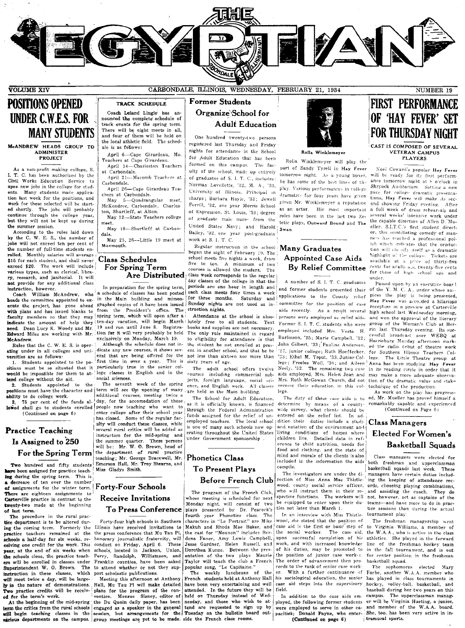

# **POSITIONS OPENED UNDER C.W.E.S. FOR MANY STUDENTS**

#### McANDREW HEADS GROUP TO **ADMINISTER PROJECT**

As a non-profit making college, S. I. T. C. has been authorized by the Civil Works Education Service to open new jobs in the college for students. Many students made application last week for the positions, and work for these selected will be started shortly. The jobs will probably continue through the college year, but they will not be kept up during the summer session.

According to the rules laid down<br>by the C. W. E. S., the number of jobs will not exceed ten per cent of the number of full-time students enrolled. Monthly salaries will average \$15 for each student, and shall never exceed \$20. The work will include various types, such as clerical, libra ry, research, and janitorial. It will not provide for any additional class

instruction, however.<br>Coach William McAndrew, who in the Main building and mimeoheads the committee appointed to execute the project, has gone ahead with plans and has issued blanks to faculty members so that they may indicate the amount of help they need. Dean Lucy K. Woody and Mr. Edward Miles are working with Mr. McAndrew.

Rules that the C. W. E. S. is oper ating under in all colleges and universities are as follows:

Fitting in over a year. This is<br>Students appointed to the  $p_0$ - first time in over a year. This is<br>must be so situated that it particularly true in the senior col-1. Students appointed to the positions would be impossible for them to attend college without the aid.

Students appointed to the positions must have the character and | term will see the opening of many ability to do college work.

75 per cent of the funds allowed shall go to students enrolled people now teaching who want to (Continued on page 6)

# **Practice Teaching** Is Assigned to 250 For the Spring Term

Two hundred and fifty students aye been assigned for practice teaching during the spring term. This is a decrease of ten over the number of assignments for the winter term. | Forty-Four Schools There are eighteen assignments to Carterville practice in contrast to the twenty-two made at the beginning of last term.

The procedure in the rural prac tice department is to be altered during the coming term. Formerly the practice teachers remained at the schools a half-day for six weeks, receiving one credit for the work. This year, at the end of six weeks when the schools close, the practice teachers will be enrolled in classes under Superintendent W. O. Brown. The instruction in these classes, which will meet twice a day, will be largely in the nature of demonstrations. Two practice credits will be received for the term's work.

various departments on the campus. group meetings are yet to be made. side the French class rooms.

# CARBONDALE, ILLINOIS, WEDNESDAY, FEBRUARY 21, 1934

# **Former Students** Organize School for **Adult Education**

One hundred twenty-two persons registered last Thursday and Friday nights for attendance in the School for Adult Education that has been formed on this campus. The faculty of the school, made up entirely of graduates of S. I. T. C., includes: Norman Lovellette '32, M A '33 University of Illinois, Principal in charge; Barbara Hoyle, '33; Jewell Ferrill, '32, one year Morris School of Expression, St. Louis, '33; degree of graduate male nurse from the United States Navy; and Harold Bailey, '32, one year post-graduate work at S. I. T. C.

Regular instruction in the school Many Graduates began the night of February 19. The school meets five nights a week, from five to ten. A minimum of two courses is allowed the student. The Are Distributed class week corresponds to the regular day classes of the college in that the periods are one hour in length and each class meets four times a week for three months. Saturday and Sunday nights are not used as instruction nights.

Attendance at the school is absoten-day vacation, will begin March lutely free to all students. Text books and supplies are not necessary The only rule maintained in regard to eligibility for attendance is that the student be not enrolled at present in another school, and that he he not less than sixteen nor more than sixty years of age.

> The adult school offers twelve courses including commercial subjects, foreign language, social science, and English work. All classes are held in the Main building.

The School for Adult Education, as it is officially known, is financed through the Federal Administration funds assigned for the relief of unemployed teachers. The local school is one of many such schools now operating throughout the United States under Government sponsorship

# **Phonetics Class To Present Plays Before French Club**

The program of the French Club, whose meeting is scheduled for next Monday night, will consist of two plays presented by Dr. Peacock's fourth year Phonetics class. The<br>characters in "Le Portrait" are Mike Makuh and Rhoda Mae Baker, and the cast for "Nounon" includes Berdena Faner, Amy Lewis Campbell, Jesse Gardner, Helen Russell, and Dorothea Kunze. Between the presentation of the two plays Maurie Taylor will teach the club a French popular song, "Le Capitaine."

The weekly luncheons of the French students held at Anthony Hall have been very entertaining and well attended. In the future they will be held on Thursday instead of Wednesday, and those who wish to atterm the critics from the rural schools engaged as a speaker in the general tend are requested to sign up by will begin teaching classes in the session, but arrangements for the Tuesday on the bulletin board out-



#### Rolla Winklemeye

Rolla Winklemeyer will play the part of Sandy Tyrell in Hay Fever tomorrow night. As a young boxer, he has some of the best lines of the play. Various performances in college dramatics for four years have given given Mr. Winklemeyer a reputation as an actor. His most important roles have been in the last two Zetetic plays, Outward Bound and The Swan

# **Appointed Case Aids By Relief Committee**

A number of S. I. T. C. graduates committee for the position of case persons were employed as relief aids. Former S. I. T. C. students who were employed included Mrs. Vesta H. Burlinson, '25; Marie Campbell, '32; John Gilbert, '33; 'Pauline Anderson, '27, junior college; Ruth Hoeffecker, '33; Ethel M. Trout, '33, Junior College; Freelee Woll, '30; and Aileen Neely, '32. The remaining two case aids employed, Mrs. Helen Jean and Mrs. Ruth McGowan Church, did not receive their education in this college.

determine by means of a countywide survey, what clients should be entered on the relief list. In addition their duties include a study and notation of the environment and living conditions of homes where children live. Detailed data in reference to child nutrition, needs for food and clothing, and the state of mind and morale of the clients is also included in the information the aids compile.

The investigators are under the direction of Miss Anna Mae Thistlewood, county social service officer, who will instruct them in their respective functions. The workers will be equipped to enter upon their duties not later than March 1.

In an interview with Miss Thistle wood, she stated that the position of case aid is the first or basic step of<br>the social worker. The case aid, upon successful completion of his work, and with increased knowledge of his duties, may be promoted to the position of junior case worker. The order of advancement then proceeds to the rank of senior case work-With a further continuance of or. his sociological education, the senior case aid steps into the supervisory field.

In addition to the case aids employed, the following former students were employed to serve in other capacities; Donald Payne, who enter-(Continued on page 6)

# **FIRST PERFORMANCE** OF HAY FEVER' SET **FOR THURSDAY NIGHT** CAST IS COMPOSED OF SEVERAL **VETERAN CAMPUS**

**PLAYERS** 

Noel Coward's popular Hay Fever will be ready for its first performance tomorrow night at 8 o'clock in Shryock Auditorium. Setting a new pace for college dramatic presentations, Hay Fever will make its second showing Friday evening. After a full week of dress rehear-als and several weeks' intensive work under the capable direction of Allen D. Mueller. S.I.T.C.'s first student director, this scintillating comedy of manners has reached a professional polish which indicates that the production will cla sify itself as a dramatic<br>highlight of the college. Tickets are available at a price of thirty-five<br>cents for adults  $a_0$ , twenty-five cents for those of high school age and under.

Passed upon by an executive boar! and former students presented their of the Y. M. C. A., under whose au-<br>applications to the County relief pices the play is being presented, Hay Fever was accorded a hilarious reception in a preview at Carterville aids recently. As a result several high school last Wednesday morning, and won the approval of the literary group of the Woman's Club at Herrin last Thursday evening. Its successful broadcast over WEBQ at Harrisburg Monday afternoon marked the radio debut of theatre work for Southern Illinois Teachers College. The Little Theatre group at Anna has been studying Hay Fever in its reading circle in order that it may make a more adequate observation of the dramatic value and stake technique of the production.<br>As work on the play has progress-

The duty of these case aids is to ed, Mr. Mueller has proved himself a remarkably capable and experienced (Continued on Page 6)

# Class Managers **Elected For Women's Basketball Squads**

Class managers were elected for both freshman and upperclassman basketball squads last week. These managers have certain duties including the keeping of attendance records, choosing playing combinations, and assisting the coach. They do not, however, act as captains of the teams-and have more to do in practice sessions than during the actual tournament play.

The freshman managership went to Virginia Williams, a member of the W.A.A., who is active in the class athletics. She played in the forward line of the freshman hockey team in the fall tournament, and is out for center position in the freshman basketball squad.

The sophomores elected Forbe, another W.A.A. member who has played in class tournaments in hockey, volley-ball, basketball, and baseball during her two years on this campus. The upperclassman manager will be Virginia Hueting, a junior, and member of the W.A.A. board. She, too, has been very active in intramural sports.

### lege classes in English and in the social sciences. The seventh week of the spring additional courses, meeting twice a day, for the accomodation of those enter college after their school year

The

Registra-

has closed. Some of the regular faculty will conduct these classes, while several rural critics will be added as instructors for the mid-spring and the summer quarter. These persons<br>will be: Mr. W. O. Brown, head of department of rural practice the teaching; Mr. George Bracewell, Mr. Emerson Hall, Mr. Troy Stearns, and Miss Gladys Smith.

TRACK SCHEDULE Coach Leland Lingle has an-

nounced the complete schedule of<br>track events for the spring term.

There will be eight meets in all,

and four of them will be held on

the local athletic field. The sched-

April 6-Cape Girardeau, Mo

April 21-Macomb Teachers at

April 26-Cape Girardeau Tea-

May 5-Quadrangular meet,

May 12-State Teachers college

May 18-Shurtleff at Carbon-

May 25, 26--Little 19 meet at

In preparation for the spring term,

a schedule of classes has been posted

graphed copies of it have been issued

spring term, which will open after a

tion for it will very probably be held

dicate any new courses, it shows sev-

eral that are being offered for the

Although the schedule does not in-

exclusively on Monday, March 19.

from the President's office.

19 and run until June 8.

McKendree, Carbondale, Charles-

Teachers at Cape Girardeau.<br>April 14-Charleston Teachers

ule is as follows:

at Carbondale.

chers at Carbondale.

ton, Shurtleff, at Alton.

**Class Schedules** 

For Spring Term

Carbondale.

meet.

dale

Monmouth

# **Receive Invitations To Press Conference**

Forty-four high schools in Southern Illinois have received invitations to the press conference that Mu Tau Pi, honorary journalistic fraternity, will These conduct on Friday, April 6. schools, located in Jackson, Union, Perry, Randolph, Williamson, and Franklin counties, have been asked to attend whether or not they support scholastic publications.

Meeting this afternoon at Anthony Hall. Mu Tau Pl will make detailed plans for the program of the convention. Monroe Sisney, editor of At the beginning of the mid-spring the Du Quoin daily paper, has been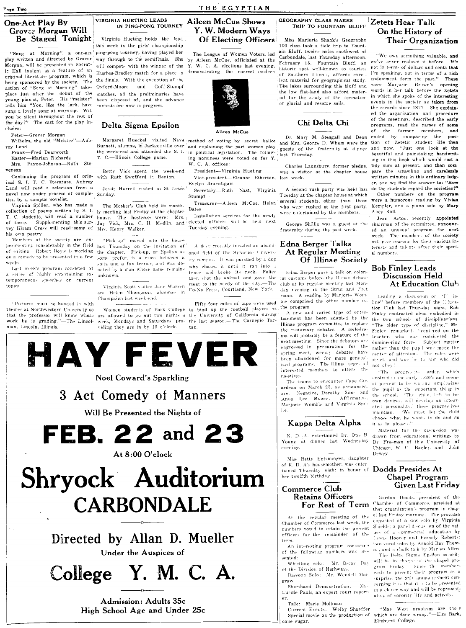# One-Act Play By<br>
Grov.:: Morgan Will IN PING-PONG TOURNEY Aileen McCue Shows<br>
Grov.:: Morgan Will IN PING-PONG TOURNEY Y. W. Modern Ways TRIP TO FOUNTAIN BLUFF<br>
Be Staged Tonight Virginia Hueting holds the lead Of Electing

play written and directed by Grover way through to the semifinals. She by Aileen McCue, officiated at the Carbondale, last Inursaay afternoon,<br>Morgan, will be presented in Socrat- will compete with the winner of the Y.W.C. ic Hall tonight as a feature of an Hughes-Bradley match for a place in demonstrating the correct modern instance spot wen-known to courses being sponsored by the society. The the finals. With the exception of the action of "Song at Morning" takes: Oxford-Moore and Goff-Stumpf young pianist, Peter. His "meister" been disposed of, and the reliminaryoung pianist, Peter. His "meister" been disposed of, and the tells him "You, like the lark, have contests are now in progress. tells him "You, like the lark, have sung a lovely song at morning. Will you be silent throughout the rest of the day?" The cast for the play in-<br>cludes:

Continuing the program of orig-; with Ruth Swofford in Benton. Vice-president-Eleanor Etherton, last week.<br>
inal S. I. T. C. literature, Aubrey ledge-contrary ledge-contrary ledge-contrary levels in the strengtherm et inal S. I. T. C. literature, Aubrey |<br>Land will read a selection from a | Jessie Harrell visited in St Louis' Secretairy Ruth Nast. Virginia A second rush party was held last do the students regard the societies?"

(ollection of poems written by S. I. ly meeting last Friday at the chapter Bates who were entertained by the members. Alice Roll.<br>T. C. students, will read a number house. The hostesses were: Mrs. Installation services fo T, C. students, wjlJ read a numb~r house. The hostessf;'"c. were Mrs, I Installation ;"en·ices for the newl::> \\pre entertained by the member". AI;:anR01.~ston, r'O'cently appointed vey Hiram Cross will read some of Mrs. Henry Walker. Tuesday evening. his own poetry.<br>Members of the society are ex-

Members of the society are ex- "Pick-up" moved into the house<br>perimenting considerably in the field <sub>last</sub> Thursday on the invitation of<br>of writing. Robert Boyle is working <sub>the c</sub>hapter. Pick-up, or Epsilon as on a comedy to be presented in a few ;-ome prefer, is a cross between a

a series of highly entertaining ex- <sub>unknown.</sub> temporaneous speeches on current

"Pictures must be handed in withthemes at Northwestern University so that the professor will know whose<br>work he is grading."—The Lincolnian, Lincoln, Illinois.



"Song at Morning", a one-act ping-pong tourney, having played her The League of Women Voters, led play written and directed by Grover way through to the semifinals. She hy Aileen McCue, officiated at the matches, all the preliminaries have<br>been disposed of, and the advance

# Delta Sigma Epsilon

w{'.,k:-. :-!-Jltz and a fox tf'rrler, wld Wa:- Jo-La~t \\"I,pk'~ pr0(!ram cO:l."\!::ted ')f natNi by a man who~t· nam" )",'])]ail1,

topics.  $\qquad \qquad \text{Virginia Scott visited Jane Warren}$ and Helen Thompson, alumnae in Champaign last week-end.

> are allowed to go out two nights a the University of California during week, Mondays and Saturdays, pro- the last season.- The Carnegie Tarviding they are in by 10 o'clock. tan.





rey Land I Burnett, alumna, in Jacksonville over and explaining the part women play guests of the fraternity at dinner and now. "Just one look at the Frank—Fred Dearworth the week-end and attended the S. L in political legislation. The follow- guests of the fraternity at dinner and now. Just one look at the rest end and attended the S. L in political legislation. The f

Land will read a selection from 3 Jessie Harrell visited in St Louis' Secretativ—Ruth Nast, Virginia A second rush party was held last do the students regard the societies!"<br>novel now under process of comple- Sunday. Stump

Virginia Spiller, who has made a The Mother's Club held its month-<br>Detical of noone weitten by S. L. and the Club is the charge Bates were rushed at the first party,

of these. Supplementing this sur- Jay Vick, Mrs. C. H. Mediin, and Elected officers will be held next George Shillig was a guest at the chairman of the committee, announc-

oned field of the Syracuse University campus. It was pursued by a dog who chased it until it ran into a fence and broke its neck. Police then shot the animal, and gave the<br>meat to the needy of the city.—The Co-No Press, Courtland. New York.

Fifty-four miles of tape were used Women students of Park College to bind up the football players at.



3 Act Comedy of Manners Will Be Presented the Nights of **FEB.22 and 23**  At 8:00 O'clock Shryock· Auditorium  $CARBONDALE$ Directed by Allan D. Mueller Under the Auspices of College Y. M. C. A.

> Admission: Adults 35c High School Age and Under 25c

Virginia Hueting holds the lead **Of Electing Officers** Miss Marjorie Shank's Geography **Their Organization**<br>
big week in the girls' championship<br>
I this week in the girls' championship The League of Women Voters, led and lent material for geographical study. The lakes surrounding this bluff and the low flat-land also afford material for the study of the formation<br>of glacial and residue soils.

# Chi Delta Chi

move now under program comple-<br>it on by a campus novelist. The Mocher's Club held its month-<br>Virginia Spiller, who has made a The Mother's Club held its month-<br>Virginia Spiller, and a piano solo by Mary

fraternity during the past week.

# A deer recently invaded an aband-  $\bf{E}$ dna  $\bf{Berger\; Talks}$ At Regular Meeting Of Illinae Society

Edna Berger gave a talk on colonial customs before the Illinae debate club at its regular meeting last Monday evening in the Strut and Fret room. A reading by Marjorie Womble comprised the other number 0.1 the program.<br>A new and varied type of enter-

A new and varied type of enter- Finley contrasted ideas embodied in tainment has been adopted by the the two schools of disciplinarians. Illinae program committee to replace the customary debates. A melodrathe customary debates. A melodra- Finley remarked. "centered on the ma will probably be a feature of the  $\frac{1}{1}$  theorem. who was considered the ma will probably be a feature of th<sub>'' teacher, who was considered the<br>next meeting. Since the debators are domineering force. Subject matter</sub> (i.e. row was considered the engines) have the department of domination for the rather made the pupil was made the pupil was made the pupil was made the pupil was made the pupil was made the pupil was made the pupil was ma spring meet, weekly debates have center of attention. The rules were<br>been abandoned for more general- strict, and woe he to him who did ized programs. The Illinae urges all not ohey! interested members to attend the progressive order, which meetings.

The teams to encounter Cape Girardeau on March 23, as announced. Negative, Dorothy Sims and<br>Lee Moore: Affirmative, Marjorie Womble and Virginia Spiller

# Kappa Delta Alpha

K. D. A. entertained Dr. Otis B. Young at dinner last Wednesday evening

Miss Betty Entsminger, daughter of K. D. A's housemother, was enter $t_{\text{a}}$  in  $B$ ;  $A$  s nousemberity, which then  $t$  Dodds Presides At her twelfth birthday.

# Commerce Club Retains Officers For Rest of Term

At the regular meeting of the Chamber of Commerce last week, the numbers voted to retain the present officers for the remainder of the term.

An interesting program consisting of the following numbers was presented:

Whistling solo: Mr. Oscar Day of the Division of Highways Bassoon Solo: Mr. Wendell Mar-

grave Shorthand Demonstration: Mr-

Lucille Pauls, an expert court report-

cane sugar. THEIN SUITOUT AFTER AND UNION 2000 CONE. 2000 Special movie on the production of which are done wrong."-Elm Bark, I ame sugar.

"We own something valuable, and we've never realized it before. It's not in terms of dollars and cents that I'm speaking, but in terms of a rich endowment form the past." These endowment form the past." were Marjorie Brown's opening words in her talk before the Zetets<br>in which she spoke of the interesting of glacial and residue soils. events in the society as taken from  $r_{\text{th}}$  the records since 1877. She explain ed the organization and procedure of the meetings, described the early me day: The case for the play in **Delta Sigma Epsilon come cludes:** Chu Delta Chi programs, read the names of some<br>Cludes: Peter-Grover Morgan **Air and Sigma Air Air Air and Air and Sigma Air and Air and Air and Air and** Peter—Grover Morgan<br>Wilhelm, the old "Meister"—Aub- Margaret Hueckel visited Nevd method of voting by secret ballot and Mrs. George D. Wham were the tion of Zetetic student life then Mrs. Payne-Johnson-Ruth Ste- II in Scheme and attended the S. I. in political legislation. The follow- Last Thursday, beautiful and painstaking handwrit-<br>Mrs. Payne-Johnson-Ruth Ste- II in the Cost a Charles Launsbury, for venson and the program of orig-<br>Continuing the program of orig-with Ruth Swofford in Benton. Wice-president-Eleanor Etherton, last week. weiter house pare the scrawling- and carelessly

ed an unusual program for next week The members of the society will give reasons for their various interests and talents after their special numbers.

# Bob Finley Leads Discussion Held At Education Club

Leading a discussion on "I line" before members of the  $\mathcal{C}$ . before members of the :llucation Club last Thur-day night. Bob the two schools of disciplinarians.<br>"The older type of discipline," Mr. strict, and woe he to him who did

 $t^{\text{max}}$  and  $t^{\text{max}}$  is the early 1920's and seems at p, esent to he wailing, emploasizes the pupil as the important thing in<br>the school. 'The child, left to his<br>own devices, will develop an integrated personality,' these progres ives<br>maintain. ... 'We must let the child<br>choose what he wants to do and do it as he pleases."  $\,$ 

Material for the discussion wadrawn from educational writings by Dr. Freeman of the University of Chicago, W. C. Bagley, and John Dewey

# Chapel Program Given Last Friday

Gordon Dodds, president of the Chamber of Commerce, presided at that organization's program in chapel last Friday morning. The program consisted of a saw solo by Virginia Shields ; a panel di-cus ion of the values of a commercial education by Lewis Hoover and Fernely Roberts;<br>two vocal soles by Arnold Ray Thomas; and a chalk talk by Marian Allen.

The Delta Sigma Epsilon so ority will be in charge of the chapel pro-<br>gram Friday.... Since the memberwish to present their program as a surprise, the only announcement concerning it is that it is to be presented in a clever way and will be representative of sorority life and activity.

Talk: Marie MoHman<br>Current Events: Welby Shaeffer "Mae West problems are thoe Current Events: Welby Shaeffer "Mae West problems are tho  $e$  Snecial movie on the production of which are done wrong."-Elm Bark,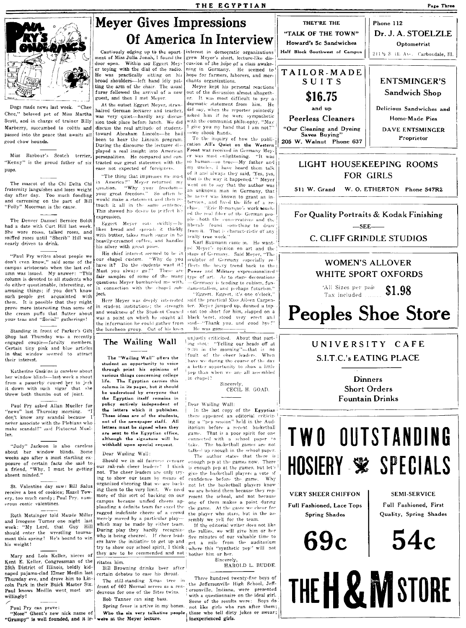

Dogs made news last week. "Chee Chee." beloved pet of Miss Martha Scott, and in charge of trainer Billy Marberry, succumbed to colitis and passed into the peace that awaits all good chow bounds.

Miss Barbour's Scotch terrier, "Kenny" is the proud father of six pups.

The mascot of the Chi Delta Chi fraternity languishes and loses weight day after day. Too much fondling and carressing on the part of Bill "Polly" Moorman is the cause.

The Denver Damsel Bernice Boldt had a date with Curt Hill last week. She wore roses, talked roses, and<br>sniffed roses until "Sherib" Hill was nearly driven to drink.

"Paul Pry writes about people we don't even know," said some of the campus aristoerats when the last column was issued. My answer: "This column is devoted to all students who do either questionable, interesting, or amusing things; if you don't know such people get acquainted with It is possible that they might them. prove more interesting than some of the cream puffs that flutter about your teas and "Social" gatherings!

Standing in front of Parker's Gift Shop last Thursday was a recently engaged couple-faculty members Certain tiny pink and blue articles in that window seemed to attract their interest.

Katherine Gaskins is careless about her window blinds-last week a shout from a passerby caused her to jerk it down with such vigor that she threw both thumbs out of joint.

Paul Pry asked Allan Mueller for "news" last Thursday morning. don't know any scandal because 1 never associate with the Plebians who make scandal!" said Plutocrat Muel- $1eF$ 

"Judy" Jackson is also careless about her window blinds. Some weeks ago after a most startling exposure of certain facts she said to a friend, "Why, I must be getting absent minded."

St. Valentine day saw: Bill Salus receive a box of cookies; Hazel Towery, too much candy; Paul Pry, numerous comic valentines.

Ruth Motsinger told Maude Miller near and Imagene Turner one night last<br>week: "My Lord, that Guy Hill<br>should enter the wrestling tournament this spring! He's bound to win his weight!

Mary and Lois Keller, nieces of Kent E. Keller, Congressman of the 25th District of Illinois, boldly kidnaped pajama-clad Elmer Medlin last Thursday eve, and drove him to Lincoln Park in their Buick Master Six. Paul knows Medlin went most unwillingly!



ment of Miss Julia Jonah. I found the Within sat Eggert Meydoor open. er toying with the dial of the radio. He was practically sitting on his<br>broad shoulders—left hand idly patting the arm of the chair. The usual furor followed the arrival of a new guest, and then I met Meyer.

At the outset Eggert Meyer, strawhaired German lecturer and teacher, was very quiet-hardly any discussion took place before lunch. We did discuss the real attitude of student. toward Abraham Lincoln-he had been to hear the Lincoln program. During the discourse the lecturer displayed a real insight into American personalities. He compared and contrasted our great statesmen with the ease not expected of foreigners.

"The thing that impresses me most In America?" Meyer returned my<br>question. "Why your freedom-<br>your great freedom." So often be would make a statement and then retouch it all in the same sentence This showed his desire to perfect his expression.

Eggert Meyer eats swiftly-he<br>likes bread and spreads it thickly with butter, takes much sugar in his heavily-creamed coffee, and handles his silver with great poise.

His chief interest seemed to be in num chapel custom. "Why do you<br>have it? Do the students want it?<br>Must you always go?" These are questions Meyer bombarded me with, in connection with the chapel sub- damentalism, and perhaps futurism.' iect.

Herr Mever was deeply interested in student institutions; the strength and weakness of the Student Council was a point on which he sought all black beret, stood very erect and the information he could gather from the luncheon group. Out of his keen

The Egyptian carries this

entirely independent of

column in its pages, but it should

be understood by everyone that the Egyptian itself remains in

the letters which it publishes.

These ideas are of the students,

not of the newspaper staff. All

letters must be signed when they

are sent to the Egyptian office,

although the signature will be

our rah-rah cheer leaders? I think

not. The cheer leaders are only try-

ing to show our team by means of

organized cheering that we are back-

ing them to the very limit. We need more of this sort of backing on our

campus because unified cheers ap-

plauding a definite team far excel the

ragged indefinite cheers of a crowd

merely moved by a particular play-

which may be made by vither team.

During play they hardly recognize

who is being cheered. If cheer lead-

ers have the initiative to get up and

try to show our school spirit, I think

they are to be commended and not

Bill Browning drinks beer after

The still-standing Xmas tree in

front of 607 Normal serves as a ren-

certain debates to ease his throat.

dezvous for one of the Sites twins.

Bob Tanner can sing bass

ritates him.

withheld upon special request.

Should we in all fairness

Dear Wailing Wall:

life.

policy

Cautiously edging up to the apart- | interest in democratic organizations grew Meyer's short, lecture-like discussion of the hope of a class awakening in Germany. He seemed to hope for farmers, laborers, and merchants organizations.

Mever kept his personal reactions out of the discussion almost altogether. It was most difficult to pry a dogmatic statement from him. He did say, when the reporter pointedly<br>asked him if he were sympathetic with the communist philosophy, "May I give you my hand that I am not?' -we shook hands.

To the inquiry of how the publication All's Quiet on the Western Front was received in Germany Mey- $\mathbf{e}\mathbf{r}$ was most enlightening. "It was so human--so true-My father and uncles, I have heard them talk of it and always they said, 'Yes, yes,<br>that is the way it happened.' " Meyer went on to say that the author was an unknown man in Germany, that he never was known to grant an interview, and lived the life of a re-<br>cluse. "Eric Remarque's work touched the real fiber of the German people-both the conservatives and the liberals found something to draw<br>from it. That is characteristic of any eally true work."

Karl Baumann came in. He wanted Meyer's opinion on art and the<br>|stage of Germany, Said-Meyer, "The sculptor of Germany especially re flects the heavy trend back to the Power and Military expressionalized fair samples of some of the many type of art. As to stage decorations -Germany is tending to cubism, fun-

"Eigent, Eigent, it's one o'clock." said the practical Miss Aileen Carpenter. Mever jumped up, donned a ton coat too short for him, slapped on a said-"Thank you, and good bye?" He was gone-

unjustly criticized. About that parting shot: "Yelling our heads off at 9:30 in the morning"-that is no fault of the cheer leaders. When have we during the course of the day a better opportunity to show a little pep than when we are all assembled

CECIL H. GOAD.

Dear Wailing Wall:

there appeared an editorial criticizing a "pep session" held in the Auditorium before a recent basketball game. That is a poor spirit for one connected with a school paper to take. The basketball games are not talked up enough in the school paper

The author states that there is Why

the rallies, we will give him or her five minutes of our valuable time to get a mile from the auditorium where this "synthetic pep" will not bother him or her.

Three hundred twenty-five boys of the Jeffersonville High School, Jeffersonville, Indiana, were presented with a questionnaire on the ideal girl. Some of the results were: Boys do "Nose" Ghent's new nick name of who the six very talkative people in the girls who run after them;<br>"Grumpy" is well founded, and it ir-<br>"Grumpy" is well founded, and it ir-<br>"Grumpy" is well founded, and it ir-<br>were at the



# LIGHT HOUSEKEEPING ROOMS **FOR GIRLS**

511 W. Grand W. O. ETHERTON Phone 547R2

# For Quality Portraits & Kodak Finishing

 $-$ SEE-

# **C. CLIFF GRINDLE STUDIOS**

# **WOMEN'S ALLOVER** WHITE SPORT OXFORDS

'All Sizes per pair \$1.98 Tax included .......

# **Peoples Shoe Store**

# UNIVERSITY CAFE S.I.T.C.'s EATING PLACE

**Dinners Short Orders Fountain Drinks** 

# **TWO OUTSTANDING** HOSIERY SPECIALS

**VERY SHEER CHIFFON** 

Full Fashioned, Lace Tops **Spring Shades** 



**SEMI-SERVICE** Full Fashioned, First Quality, Spring Shades

 $54c$ 

# THE **H & M** STORE

The Wailing Wall The "Wailing Wall" offers the student an opportunity to voice through print his opinions of various things concerning college in chapel?

Sincerely,

In the last copy of the Egyptian

enough pep at the games now. There is enough pep at the games, but let's give the basketball players a vote of confidence before the game. Why not let the basketball players know we are behind them because they represent the school, and not because one of them makes a point during the game. At the game we cheer for the player who stars, but in the assembly we yell for the team.

If the editorial writer does not like

Sincerely, HAROLD L. BUDDE.

Page Three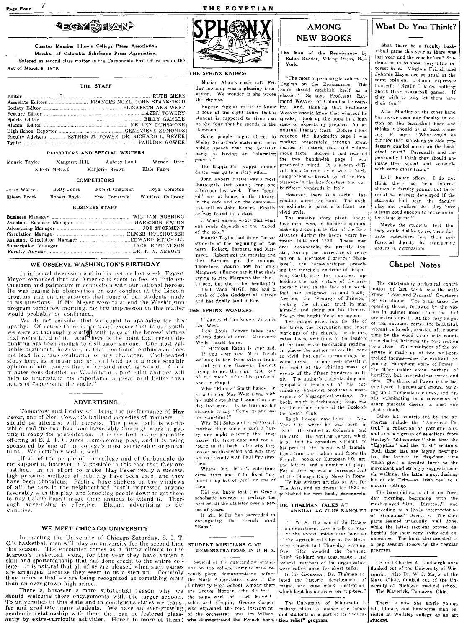# **AECAY SHARP**

Charter Member Illinois College Press Association Member of Columbia Scholastic Press Association.

Entered as second class matter in the Carbondale Post Office under the Act of March 3, 1879

#### THE STAFF

| Faculty Advisers  ESTHER M. POWER, DR. RICHARD L. BEYER |  |  |  |
|---------------------------------------------------------|--|--|--|
|                                                         |  |  |  |

#### **REPORTERS AND SPECIAL WRITERS**

| Maurie Taylor | Margaret Hill. |                | Aubrey Land | Wendell Otev |
|---------------|----------------|----------------|-------------|--------------|
|               | Eileen McNeill | Marjorie Brown |             | Elsie Faner  |

### **COMPETITORS**

| Jesse Warren | Betty Jones  | Robert Chapman | Loyal Compton     |
|--------------|--------------|----------------|-------------------|
| Eileen Brock | Robert Boyle | Fred Comstock  | Winifred Calloway |

#### **BUSINESS STAFF**

### WE OBSERVE WASHINGTON'S BIRTHDAY

In informal discussion and in his lecture last week, Eggert Mever remarked that we Americans seem to feel so little enthusiasm and patriotism in connection with our national heroes. He was basing his observation on our conduct at the Lincoln program and on the answers that some of our students made<br>to his questions. If Mr. Meyer were to attend the Washington<br>program tomorrow morning, his first impression on this matter would probably be confirmed.

We do not consider that we ought to apologize for this we were so thoroughly stuffed with tales of the heroes' virtues<br>that in our youth<br>we were so thoroughly stuffed with tales of the heroes' virtues<br>that we're tired of it. And there is the point that recent debunking has been enough to disillusion anyone. Our most valuable argument, however, is that emotional enthusiasm does not lead to a true evaluation of any character. Cool-headed study here, as in music and art, will lead us to a more sensible opinion of our leaders than a frenzied meeting would. A few minutes consideration on Washington's particular abilities will help us understand his importance a great deal better than<br>hours of "squeezing the eagle."

### **ADVERTISING**

Tomorrow and Friday will bring the performance of Hay Fever, one of Noel Coward's brilliant comedies of manners. should be attended with success. should be attended with success. The piece itself is worth-<br>while, and the cast has done inexorably thorough work in geuting it ready for presentation. It is the first major dramatic offering at S. I. T. C. since Homecoming play, and it is being sponsored by one of the college's most serviceable organizations. We certainly wish it well.

If all of the people of the college and of Carbondale do not support it, however, it is possible in this case that they are justified. In an effort to make Hay Fever really a success,<br>high-pressure methods of publicity have been used, and they<br>have been obnoxious. Pasting huge stickers on the windows of all the cars in the neighborhood hasn't impressed anyone favorably with the play, and knocking people down to get them to buy tickets hasn't made them anxious to attend it. Thorough advertising is effective. Blatant advertising is destructive.

### WE MEET CHICAGO UNIVERSITY

In meeting the University of Chicago Saturday, S. I. T. C.'s basketball men will play an university for the second time sTUDENT MUSICIANS GIVE this season. The encounter comes as a fitting climax to the Maroon's basketball work, for this year they have shown a skill and sportsmanship that has done credit to the entire college. It is natural that all of us are pleased when such games are arranged, because they seem to us a step up. Certainly they indicate that we are being recognized as something more than an over-grown high school.

There is, however, a more substantial reason why we are Grover Morgan, who allows a should welcome these engagements with the larger schools, the piano work of List Merchan To universities in this state and in contiguous states we transfer and graduate many students. We have an ever-growing who explained the reed instrument academic relationship with them that can be fostered pleas- of the orchestra; and Ira Wilson. antly by extra-curricultr activities.



THE EGYPTIAN

### THE SPHINX KNOWS:

Marian Allan's chalk talk Frivation. We wonder if she wrote the rhymes

Eugene Piggott wants to know if four of the eight hours that a student is supposed to sleep can be the four that he spends in the classroom.

Some people might object to Welby Schaeffer's statement in a public speech that the Socialist<br>party is having an "alarming growth."

The Kappa Phi Kappa dinner dance was quite a ritzy affair.

John Robert Hastie was a most thoroughly lost young man one afternoon last week. They "seeked" him at home, in the library, in the cafe and on the campusbut still no John Robert. Finally he was found in a class.

J. Ward Barnes wrote that what one reads depends on the "mood of the sole."

Maurie Taylor had three Caesar students at the beginning of the term-Robert, Barbara, and Margaret. Robert got the measles and then Barbara got the mumps.<br>Therefore, Maurie now has only Margaret. (Rumor has it that she's trying to give Margaret the chicken-pox, but she is too healthy!") That Vada McGill has had a

crush of John Goddard all winter and has finally landed him.

#### THE SPHINX WONDERS:

If James Mifflin knows Virginia Lee West.

How Louis Hoover takes care f two dates at once. Genevieve Wells should know

If Harrison Eaton is ever sad. If you ever saw Miss Jonah walking in her dress with a train. Did you see Gasaway Bovinet trying to get the cigar taste out

of his mouth after his performance in chapel.

Why "Flossie" Smith handed in an article on Mae West along with his public speaking lesson plan one day last week. Is he training his<br>students to say "Come up and see<br>students to say" "Come up and see me sometime?

Why Bill Salus and Fred Crouch reached their home in such a hurry one night recently that they passed the front door and ran a round to the back-also why they looked so disheveled and why they are so friendly with Paul Pry since then

Where Mr. Miles's valentines came from and if he liked "my latest snapshot of you" on one of them.

Did you know that Jim Gray's scholastic average is perhaps the

best of all the athletes over a period of years. If Mr. Miller has succeeded in

conjugating the French word "Sans."

# DEMONSTRATIONS IN U. H. S.

Several of the outstanding musicians on the college campus have recently given demonstrations before the Music Appreciation class in the University High School. Among them sohn, and Chopin; George Casper

# **AMONG**

Ralph Roeder, Viking Press, New York.

"The most superb single volume in English on the Reniassance. This day morning was a pleasing inno- book should establish itself as a  $classic."$ So says Professor Rav mond Weaver, of Columbia Univers-And, thinking that Professor Weaver should know that whereof he speaks. I took up the book in a high state of expectancy prepared for an unusual literary feast. Before I had reached the hundredth page I was wading desperately through great<br>masses of historic data and voluminous facts. Before I had reached the two hundredth page I was practically mired. It is a very difficult book to read, even with a fairly comprehensive knowledge of the Renaissance in the late fourteen and ear-Iv fifteen bundreds in Italy.

However, there is a certain fascination about the book. The author exhibits, in parts, a brilliant and vivid style.

The massive story pivots about four men, who, in Roeder's opinion, make up a composite Man of the Renaissance during the hectic years between 1494 and 1530. These men are: Savonarola, the priestly fanatic, forcing the corrective of religion on a licentious Florence: Machiavelli, the hero-worshiper, preaching the merciless doctrine of despotism; Castilglione, the courtier, uptocratic ideal in the face of a world himself, and living out his libertine life on the bright Venetian lagoon.

The insight given into the life of the times, the corruption and inner workings of the church, the desires, rates, loves, ambitions of the leaders of the time make fascinating reading In places the author makes the book so vivid that, one's surroundings become unreal, and one feels oneself in the midst of the whirling mass of events of the fifteen hundreds in Italy. The author's understanding and sympathetic treatment of his outstanding characters produces a masterpiece of biographical writing. The book, which is fashionably long, was the December choice of the Book-ofthe Month Club

Ralph Roeder now lives in New York City, where he was born in 1890. He studied at Columbia and Harvard. His writing career, which is all that he considers relevant to his present life, began with translations from the Italian and from the French-books on European life, art. and letters, and a number of plays. For a time he was a correspondent of the Chicago Daily News in Rome. He has written articles on Art for The Arts, and on drama for 1930 he published his first book, Savonarola.

#### DR. THALMAN TALKS AT ANNUAL AG CLUB BANQUET

Dr. W. A. Thalman of the Education department gave a talk on maget the annual mid-winter banquet The Agricultural Club at the Methodist Church last Thursday evening.<br>Over fifty atended the banquet. Thinh Goddard was toastmaster, and everal members of the organization were called upon for short talks.

In his discussion, Dr. Thalman related the historic development of magic, and gave many illustration which kept his audience on "tip-toes."

The University of Minnesota is making plans to finance one thousand students as a part of its "education relief" program.

What Do You Think?

Shall there be a faculty basketball game this year as there was last year and the year before? Students seem to show very little interest in it. Virginia Feirich and Johnnie Hayes are as usual of the same opinion. Johnnie expresses himself: "Really I know nothing about their basketball games. If they wish to play let them have their fun."

Allan Mueller on the other hand has never seen our faculty in action on the basketball floor and thinks it should be at least amus-<br>ing. He says: "What could be funnier than watching ye olde professors gambol about on the baskethall court? Personally and impersonally I think they should animate their squad and squaddle with some other team.'

Lelle Baker offers: I do not think there has been interest shown in faculty games, but there could be interest developed if the students had seen the faculty play and realized that they have a team good enough to make an interesting game."

Mayhe the students feel that they would dislike to see their favorite instructors lose their professorial dignity by scampering around a gymnasium.

# Chapel Notes

The outstanding orchestral contribution of last week was the wellblat had outgrown it; and finally, hutton of last week was the well-<br>that had outgrown it; and finally, hown "Poet and Peasant" Overtures<br>Aretino, the "Scourge of Princes," known "Poet and Peasant" Overtures<br>seeking the u ovening theme followed by the violins in quieter mood; then the full orchestra sings it. At the very height of this outburst comes the beautiful, vibrant cello solo, assisted after some time by the wood winds with counter-melodies, bringing the first section to a close. The remainder of the overture is made un of two well-controlled themes-one the exultant, rejoicing, triumphant voice of Powerthe other milder voice, perhaps of humility, but nevertheless sweet and firm. The theme of Power is the last one heard; it grows and grows, building up a tremendous climax, and finally culminating in a succession of sharp staccato chords-a most emphatic finale.

> Other bits contributed by the or chestra include the "American Patrol." a collection of patriotic airs. and another group of selections from Hadley's "Silhouettes," this time the "Egyptian" and the "Irish" sections. Both these last are highly descriptive, the former in five-four time which gives a decided lurch to the movement and strongly suggests camels walking, the latter a gay, dashing<br>bit of old Erin-an Irish reel to a modern setting.

> The band did its usual hit on Tuesday morning, beginning with the<br>much-played "Our Director," and proceeding to a lively interpretation<br>of "Grandioso" Overture. The slow<br>parts seemed unusually well done, while the latter sections proved delightful for their very levity and ex-<br>uberance. The band also assisted in a pep session following the regular program.

Colonel Charles A. Lindbergh once flunked out of the University of Wisconsin. Also Dr. W. J. Mavo, of the Mayo Clinic, flunked out of the University of Michigan medical school. -The Maverick, Tonkawa, Okla.

There is now one single young, tall, blonde, and handsome man enrolled at Wellsley college as an art student.

**NEW BOOKS** The Man of the Renaissance by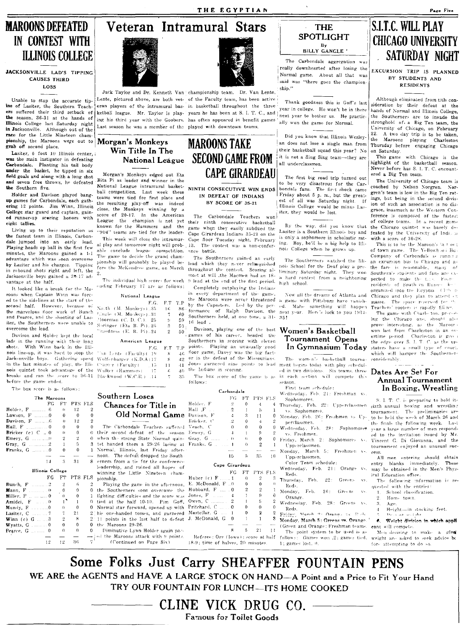## THE EGYPTIAN

# MAROONS DEFEATED IN CONTEST WITH ILLINOIS COLLEGE

JACKSONVILLE LAD'S TIPPING CAUSES THIRD LOSS

Unable to stop the accurate tipins of Lasiter, the Southern Teachers suffered their third setback of the season, 36-31 at the hands of IDinois College last Saturday night in Jacksonville. Although out of the race for the Little Nineteen championship, the Maroons were out to **Morgan's Monkeys**<br>grab off second place. **I** Win Title In The

Carbondale. Planting his tall body under the basket, he tipped in six **field goals and along with a long shot** Morgan's Monkeys edged out Eta<br>field goals and along with a long shot Bita Pi as leader and winner in the and seven free throws, he defeated the Southern five.  $National$  League intramural basket-

Holder and Davison played bang-<br>**up** games for Carbondale, each gath-<br> $\frac{t}{t}$  teams were tied for first place and formulated the formulated the state and the state and the state and the state indeed up games for Carbondale, each gath-<br>ering 12 points. Jim Winn, Illinois ering 12 points. Jim Winn, 100018 close, the Monkeys winning by College star guard and captain, gain-College star guard and captain, gain-<br>
college star guard and captain, gain-<br>
college star guard and captain, gain-<br>
color their the channeling in the American The Carbondale Teachers won the would be lost.<br>
eight tallies

the fastest team in Illinois, Carbon- - This week will close the intramur- Cape floor Tuesday night, February<br>dale iumned into an early lead. date jumped into an early lead. al play and tomorrow night will prob-. 13. The contest was a non-confer-<br>Playing heads up ball in the first few **Playing heads up ball in the first few** able conclude league competition, ence battle. minutes, the Maroons gained a 1-1 The game to decide the grand cham-<br>advantage which was soon overcome signship will probably by played be... The Southerners gained an early The Southerners watched the Illiadvantage which was soon overcome pionship will probably be played be-<br>by Lasiter and his charges. Tipping can the Makimulating came on March. by Lastier and his charges. Tipping for  $v$  the McKendree game, on March in rebound shots right and left, the  $2$ Jacksonville boys gained a 20-17 advantage at the half.

It looked like a break for the Muroons when Captain Winn was forced to the sidelines at the start of the second half. However, because of the marvelous floor work of Bunch and Pearce, and the shooting of Lasiter, the Southerners were unable to overcome the lead.

Davison and Holder kent the local lads in the running with their long shots. With Winn back in the Illi-With Winn back in the Illinois Jine.up, it wa-. hHrd to .... top th.' Jack-onville boy». CathNin.l' :-p .... "d F.G , ·111 I, Ilt. {I"(j( ult~ ( 1 (I in the last minutes of play, the Illinois quintet took advantage of the breaks and ran the score to  $36-31$  Blackwood (W.C.R.)  $.14$ before the game ended.

The box score is as follows:

|                            | The Marcons |                |                |                |
|----------------------------|-------------|----------------|----------------|----------------|
|                            | FG.         | FT             | PTS.           | FLS            |
| Holder, F  6               |             | 0              | 12             | $\overline{2}$ |
|                            |             | $\Omega$       | $\Omega$       | 0              |
|                            |             | O              | 12             | 2              |
| Hall. F<br>. 0             |             | $\Omega$       | 0              | Ď              |
| Bricker (c) C  0           |             | $^{(1)}$       | 0              | $\theta$       |
|                            |             | $\overline{2}$ | $\overline{2}$ | $\Omega$       |
| $Grav$ , $G$ . $2$         |             | 1              | 5              | 3              |
| <b>Franks, G</b> 0         |             | 0              | $\Omega$       | 1              |
|                            |             |                |                |                |
|                            | 14          | 2              | 31             | 8              |
| Illinois College           |             |                |                |                |
|                            | FG          | FT             | PTS.           | FLS            |
| <b>Bunch, F</b> 2          |             | 2              | 6              | 2              |
|                            |             | $\theta$       | 0              | 0              |
| Miller, F    0             |             | 0              | 0              | Ī              |
|                            |             | $\mathbf{I}$   | 1              | 0              |
| $M$ undy, $F$ 0            |             | 0              | 0              | 0              |
| Lasiter, C  7              |             | 7              | 21             | 2              |
| Winn (e) $G$ 3             |             | $\overline{2}$ | Ŕ              | $\overline{c}$ |
| ${\bf Wyatts},\ {\bf G}$ 0 |             | $\Omega$       | n              | $\Omega$       |
| Pearce, G  0               |             | $\Omega$       | $\Omega$       | 0              |
|                            |             |                |                |                |
|                            | 12          | 12             | 36             |                |

# Veteran Intramural Stars

ball competition\_ Last week these

National League

The individual high scores for week inding February 17 are as follows:

 $\mathrm{No.}\th$  (M. Monkeys): $35$  $l$  .ingle  $(M.$  Monkeys)  $.31$ 'joorman (C D. C) 2S Springer (Eta B. Pi).:25 'ruedness (E. B. Pi) ..24 American League

Cramer (Faculty). \Y dk,·)" (Hamrnl·r'-)

Southern Loses

F.G. F.T T.P

 $_{\rm 3}$  $\overline{2}$ 

 $\mathbf{\hat{x}}$ 

 $-15$  $17$  $\mathcal{L}_1$ 



Jack Taylor and Dr. Kenneth, Van championship team. Dr. Van Lente, Lente, pictured above, are both vet- of the Faculty team, has been active eran players of the intramural bas- in basketball throughout the three ketball league. Mr. Taylor is play- years he has been at S. I. T. C., and ing his third year with the Goobers. has often appeared in benefit games Last season he was a member of the played with downtown teams,

known for the Hammers and the game when they easily subdued the Living up to their reputation as "904" Learns are tighting and the game when they easily subdued the<br>
the fastest team in Illinois, Carbon-<br>
This work will along the late mum Cape Girardeau Indians 35-21 on the

The Southerners gained an early lead which they never relinquished throughout the contest. Scoring almost at will ,the Macmen had an 18- $9$  lead at the  $\epsilon$ nd of the first period.

Completely outplaying the Indians in every department of the game the Maroons were never threatened<br>by the Capesters. Led by the perby the Capesters.  $R_6$  for  $R_7$  includes  $R_8$  for  $R_9$  for  $R_9$ .  $\frac{69}{59}$  Southerners held, at one time, a 31-<br>59 is to tax  $\frac{59}{53}$ , 16 lead.

 $\frac{53}{50}$  Davison, playing one of the best i games of his career, headed the Southerners in scoring with eleven F.T T.P points. Playing an unusually good  $\frac{1}{46}$  floor game, Davey was the big fact-

 $42$  or in the defeat of the Missourians.  $11 - 41$  Jones garnered nine points to lead

 $46$  the Indians in scoring.

35. The box score of the game is as follows: Carbondale

| The Maroons      |                                                    |                                                           | Southern Loses          |                                                                                                                                                                                                                                                                                                                                                                                                                                                                                                                                  | FG.                                                                                                                                                                                                                                                                                                |                                                                                                                                                                                                                    |                                                             |                                                                                                               | weamsday, rep. 21. reshinan<br>Sophomores.                                                       |
|------------------|----------------------------------------------------|-----------------------------------------------------------|-------------------------|----------------------------------------------------------------------------------------------------------------------------------------------------------------------------------------------------------------------------------------------------------------------------------------------------------------------------------------------------------------------------------------------------------------------------------------------------------------------------------------------------------------------------------|----------------------------------------------------------------------------------------------------------------------------------------------------------------------------------------------------------------------------------------------------------------------------------------------------|--------------------------------------------------------------------------------------------------------------------------------------------------------------------------------------------------------------------|-------------------------------------------------------------|---------------------------------------------------------------------------------------------------------------|--------------------------------------------------------------------------------------------------|
| FT.              |                                                    |                                                           |                         | Holder, F                                                                                                                                                                                                                                                                                                                                                                                                                                                                                                                        | .2                                                                                                                                                                                                                                                                                                 | $\Omega$                                                                                                                                                                                                           | 4                                                           |                                                                                                               | Thursday, Feb. 22: Upperclass                                                                    |
| $\bullet$        | 12                                                 |                                                           |                         | $Hall$ $F$                                                                                                                                                                                                                                                                                                                                                                                                                                                                                                                       | $\overline{2}$                                                                                                                                                                                                                                                                                     |                                                                                                                                                                                                                    | 5.                                                          |                                                                                                               | vs. Sophomores.                                                                                  |
| $\Omega$         | $\theta$                                           |                                                           |                         |                                                                                                                                                                                                                                                                                                                                                                                                                                                                                                                                  | 4                                                                                                                                                                                                                                                                                                  | 3.                                                                                                                                                                                                                 | 11                                                          |                                                                                                               | Monday, Feb. 26: Freshmen vs.                                                                    |
| $^{\circ}$       | 12                                                 |                                                           |                         | Bricker, C                                                                                                                                                                                                                                                                                                                                                                                                                                                                                                                       | 2                                                                                                                                                                                                                                                                                                  | 0                                                                                                                                                                                                                  | 4                                                           |                                                                                                               | perclassmen.                                                                                     |
| $\Omega$         | 0                                                  |                                                           |                         |                                                                                                                                                                                                                                                                                                                                                                                                                                                                                                                                  | $\Omega$                                                                                                                                                                                                                                                                                           |                                                                                                                                                                                                                    | 0                                                           |                                                                                                               | Wednesday, Feb. 28: Sophon                                                                       |
| $\bullet$        | 0                                                  | 0.                                                        |                         |                                                                                                                                                                                                                                                                                                                                                                                                                                                                                                                                  |                                                                                                                                                                                                                                                                                                    |                                                                                                                                                                                                                    | g                                                           |                                                                                                               | vs. Freshmen.                                                                                    |
| $\overline{2}$   | $\overline{2}$                                     |                                                           |                         |                                                                                                                                                                                                                                                                                                                                                                                                                                                                                                                                  |                                                                                                                                                                                                                                                                                                    | $\left(1\right)$                                                                                                                                                                                                   | 0                                                           |                                                                                                               | Friday, March 2: Sophomores                                                                      |
|                  | 5.                                                 |                                                           |                         |                                                                                                                                                                                                                                                                                                                                                                                                                                                                                                                                  |                                                                                                                                                                                                                                                                                                    | -6                                                                                                                                                                                                                 | $\overline{2}$                                              |                                                                                                               | Upperclassmen.                                                                                   |
| 0                | $\Omega$                                           |                                                           |                         |                                                                                                                                                                                                                                                                                                                                                                                                                                                                                                                                  |                                                                                                                                                                                                                                                                                                    |                                                                                                                                                                                                                    |                                                             |                                                                                                               | Monday, March 5: Freshmen                                                                        |
|                  |                                                    |                                                           |                         |                                                                                                                                                                                                                                                                                                                                                                                                                                                                                                                                  | -15                                                                                                                                                                                                                                                                                                | 5.                                                                                                                                                                                                                 |                                                             | 10                                                                                                            | Upperclassmen.                                                                                   |
|                  |                                                    |                                                           |                         |                                                                                                                                                                                                                                                                                                                                                                                                                                                                                                                                  |                                                                                                                                                                                                                                                                                                    |                                                                                                                                                                                                                    |                                                             |                                                                                                               | Color Team schedule:                                                                             |
|                  |                                                    |                                                           |                         |                                                                                                                                                                                                                                                                                                                                                                                                                                                                                                                                  |                                                                                                                                                                                                                                                                                                    |                                                                                                                                                                                                                    |                                                             |                                                                                                               | Wednesday, Feb. 21: Orange                                                                       |
|                  |                                                    |                                                           |                         |                                                                                                                                                                                                                                                                                                                                                                                                                                                                                                                                  |                                                                                                                                                                                                                                                                                                    |                                                                                                                                                                                                                    |                                                             |                                                                                                               | Reds.                                                                                            |
|                  |                                                    |                                                           |                         |                                                                                                                                                                                                                                                                                                                                                                                                                                                                                                                                  |                                                                                                                                                                                                                                                                                                    |                                                                                                                                                                                                                    |                                                             |                                                                                                               | $22:$ Greens<br>Thursday, Feb.                                                                   |
|                  |                                                    |                                                           |                         |                                                                                                                                                                                                                                                                                                                                                                                                                                                                                                                                  |                                                                                                                                                                                                                                                                                                    |                                                                                                                                                                                                                    |                                                             |                                                                                                               | Reds.                                                                                            |
|                  |                                                    | n.                                                        |                         |                                                                                                                                                                                                                                                                                                                                                                                                                                                                                                                                  |                                                                                                                                                                                                                                                                                                    |                                                                                                                                                                                                                    |                                                             |                                                                                                               | Monday, Feb.<br>26:<br>Greens                                                                    |
|                  |                                                    |                                                           |                         |                                                                                                                                                                                                                                                                                                                                                                                                                                                                                                                                  |                                                                                                                                                                                                                                                                                                    |                                                                                                                                                                                                                    |                                                             |                                                                                                               | Orange.                                                                                          |
|                  |                                                    |                                                           |                         |                                                                                                                                                                                                                                                                                                                                                                                                                                                                                                                                  |                                                                                                                                                                                                                                                                                                    |                                                                                                                                                                                                                    |                                                             |                                                                                                               | Wednesday, Feb. 28: Greens                                                                       |
| $\left( \right)$ |                                                    |                                                           |                         |                                                                                                                                                                                                                                                                                                                                                                                                                                                                                                                                  |                                                                                                                                                                                                                                                                                                    |                                                                                                                                                                                                                    |                                                             |                                                                                                               | Reds                                                                                             |
|                  |                                                    |                                                           |                         |                                                                                                                                                                                                                                                                                                                                                                                                                                                                                                                                  |                                                                                                                                                                                                                                                                                                    |                                                                                                                                                                                                                    |                                                             |                                                                                                               | Feider, Morch 9: Orango vs. 1                                                                    |
|                  |                                                    |                                                           |                         |                                                                                                                                                                                                                                                                                                                                                                                                                                                                                                                                  |                                                                                                                                                                                                                                                                                                    |                                                                                                                                                                                                                    |                                                             |                                                                                                               | Monday, March 5: Greens vs. Ora                                                                  |
| $\mathbf{0}$     |                                                    | 0.                                                        |                         |                                                                                                                                                                                                                                                                                                                                                                                                                                                                                                                                  |                                                                                                                                                                                                                                                                                                    |                                                                                                                                                                                                                    |                                                             |                                                                                                               | (Green and Orange: Freshman te                                                                   |
|                  |                                                    | 0                                                         |                         |                                                                                                                                                                                                                                                                                                                                                                                                                                                                                                                                  |                                                                                                                                                                                                                                                                                                    |                                                                                                                                                                                                                    |                                                             | -11                                                                                                           | The point system to be used                                                                      |
|                  |                                                    |                                                           |                         |                                                                                                                                                                                                                                                                                                                                                                                                                                                                                                                                  |                                                                                                                                                                                                                                                                                                    |                                                                                                                                                                                                                    |                                                             |                                                                                                               | follows: Games won .2; games                                                                     |
| 12               |                                                    |                                                           | (Continued on Page Six) |                                                                                                                                                                                                                                                                                                                                                                                                                                                                                                                                  |                                                                                                                                                                                                                                                                                                    |                                                                                                                                                                                                                    |                                                             |                                                                                                               | $1$ ; games lost, $0$ .                                                                          |
| FG               | 2<br>Illinois College<br>FT<br>2<br>$\overline{2}$ | 31<br>6.<br>$\theta$<br>0<br>0<br>21<br>8<br>0<br>0<br>36 | PTS FLS<br>PTS FLS      | Chances for Title in<br>Old Normal Game<br>noon. The defeat dropped the South-<br>erners from a tie for the conference<br>leadership, and ruined all hopes of<br>winning the Little Nineteen cham-<br>pionship.<br>the Southerners soon overcame the<br>lighting difficulties and the score was<br>0 Normal star forward, opened up with<br>2 his one-handed tosses, and garnered<br>2 11 points in the last half to defeat<br>the Maroons 29-26.<br>Diminutive Lynn Holder again pac-<br>pool the Maroons attack with 9 points. | Davison, F<br>The Carbondale Teachers suffered Veach, C<br>their second defeat of the season Emery, G<br>when the strong State Normal quin- Gray, G<br>Normal, Illinois, last Friday after-<br>Playing the game in the afternoon,<br>Jones, F<br>tied at the half 10-10. Pim Goff,<br>Mastellar, G | tet handed them a 29-26 lacing at Franks, G., , 1<br>FG<br>Huber $(c)$ $\mathbf{F}$ 1<br>E. McDonald, F.0<br>Hubbard, $F$ , 0<br>$\mathbf{1}$<br>and the control<br>Pritchard, $C_{\cdots}$ 0<br>J. McDonald, G. 0 | FT<br>$^{(1)}$<br>G.<br>$\overline{2}$<br>$\mathbf{0}$<br>5 | 35<br>Cape Girardeau<br>$\overline{2}$<br>0<br>$\overline{2}$<br>ö<br>5<br>$\theta$<br>$\boldsymbol{2}$<br>21 | FT PTS FLS<br>PTS FLS<br>Referee: Orr (lowa); score at half<br>18-9; time of halves, 20 minutes. |

# SPOTLIGHT By<br>BILLY GANGLE '

The Carbondale aggregation was<br>really downhearted after losing the Normal game. About all that was said was "there goes the champion-<br>ship."

Thank goodness this is Goff's last year in college. He won't be in there next year to bother us. He practically won the game for Normal.

Lasiter, 6 foot 10 Illinois center, i **Win Title In The**<br> **We see the main instigator in defeating National League SECOND GAME FROM** it is not a Sing Sing team—they are<br> **Carbondale.** Planting his tall body **National Leag MAROONS TAKE** Did you know that Illinois Wesley-<br>an does not lose a single man from their basketball squad this year? No<br>it is not a Sing Sing team—they are all underclassmen.

> NINTH CONSECUTIVE WIN ENDS  $\begin{bmatrix}$  to be very disastrous for the Car-<br>NINTH CONSECUTIVE WIN ENDS bondale fans. The first shock came IN DEFEAT OF INDIANS Friday about 5 p. m., but the great-<br>IN DEFEAT OF INDIANS Friday about 5 p. m., but the great-<br>set of all was Saturday night. If BY SCORE OF 35-21  $\vert$  est of all was Saturday night. Illinois College would be minus Las-

> > By the way, did you know that Lasiter is a Southern Illinois boy and is only a sophomore in scholastic rat-<br>ing. Boy, he'll be a hig help to  $101$ . Boy, he'll be a big help to Illinois College when he grows up.

The Southerners wateries in the play a property that so is reasonable, many of<br>nois School for the Deaf play a pre-the fare is reasonable, many of<br>liminary Saturday night. They won Southern's students and fans are exa hard contest from a neighboring high school. residents of Southern Huno-

Now all the dreams of Atlanta and -Chicago and they plan to attend<br>game with Pittsburg have vanish- -masse. The space reserved for a game with Pittsburg have vanish-<br>ed. Mabe something will happen  $Mabv$  something will happen next year. Here's luck to you 1934- $35!$ 

# Women's Basketball Tournament Opens In Gymnasium Today

The women's basketball tournarice women's basketball tournal considerably<br>ment begins today with play schedulin each section will compete this  $s$ eason.

First team schedule:

Wednesday, Feb. 21: Freshman vs Sophomores.

- Thursday. Feb. 22: Upperclassmen  $\mathbf{v}_\mathbf{s}$ . Sophomores.
- Monday, Feb. 26; Freshmen vs Upperclassmen.
- Wednesday, Feb. 28: Sophomores vs. Freshmen.
- Friday, March 2: Sophomores v-Upperclassmen.
- Monday, March 5: Freshmen<br>| Upperclassmen.
	- Color Team schedule:<br>ednesday, Feb. 21: Orange vs. Wednesday, Feb.
- Reds.  $\lceil \text{hursday}, \text{Feb.} \rceil/22$  : Greens:  $V^{\mathfrak{L}}$ Ht·d~.
- Monday, Feb.  $26:$ Greens Orange
- Wednesday, Feb. 28: Greens vs. Reds.<br>'ride:'. Morch 9: Orano, vs. P.A.
- Monday, March 5: Greens vs. Orange.'
- (Green and Orange: Freshman teams. eant will compete The point system to be used is as
- $follows:$  Games won  $.2:$  games tied. 1; games lost, 0.

# S.I.T.C. WILL PLAY : CHICAGO UNIVERSITY SATURDAY NIGHT

EXCURSION TRIP IS PLANNED BY STUDENTS AND RESIDENTS

Although eliminated from title consideration by their defeat at the hands of Normal and Illinois College, the Southerners are to invade the<br>stronghold of. a Big Ten team, the University of Chicago, on February 22. A two day trip is to be taken, the Maroons playmg Charleston Thursday before engaging Chicago on Saturday.

This game with Chicago is the highlight of the basketball season.<br>Never before has S. I. T. C. encountered a Big Ten team.

The University of Chicago team *is*  coached by Nelson Norgren. Norgren's team is low in the Big Ten ratings, but being in the second division of such an association is no disgrace, inasmuch as the Western Conference is composed of the fastes: of college teams. In a recent game the Chicago quintet was barely de-<br>feated by the University of Indi...a with a score of 30·2x\_

This is to be the Maroon's 'a t out of town game. The Yellowh oi Bu.<br>Company of Carbondale is runnite an excursion bus to Chicago and a-Southern's students and fans are  $\alpha$ , pected to make the time. Form organized into the Egyptia (International

Teachers' rooters is rapidly fill not. The game with Charle ton, proceding the Chicago one, should also<br>prove interesting, as the Maroors won last from Charleston in an overtime period. Charleston is given<br>the edge over S. J. T. C. as the up-<br>staters have a small type of court. which will hamper the Southerner-<br>considerably.

# Dates Are Set For Annual Tournament In Boxing, Wrestling

S. I. T. C. i- preparing to hold its sixth annual boxing and wrestling<br>tournament. The preliminaries are to be held the week of March 26 and the finals the following week. Last v-ar a large number of men respond-,<br>ed to the invitation issued by Mr.<br>Vincent G. Di Giovanna, and the tournament enjoyed an unusual success.

All men entering should obtain entry blanks immediately. These may be obtained in the Men's Physical Education office.

The following information is requested with the entries:

- 1. School classification.
- Home town.  $\overline{2}$
- $\overline{3}$ Age.  $\frac{4}{3}$
- Height- $\frac{1}{2}$ in stocking feet.
- $\mathbf{6}$ Weight division in which appli
- 

Men desiring to make a give weight are asked to seek advice be fore attempting to do so.

Some Folks Just Carry SHEAFFER FOUNTAIN PENS WE ARE the AGENTS and HAVE A LARGE STOCK ON HAND-A Point and a Price to Fit Your Hand TRY OUR FOUNTAIN FOR LUNCH-ITS HOME COOKED

> CLINE VICK DRUG CO. Famous for Toilet Goods

Page Five